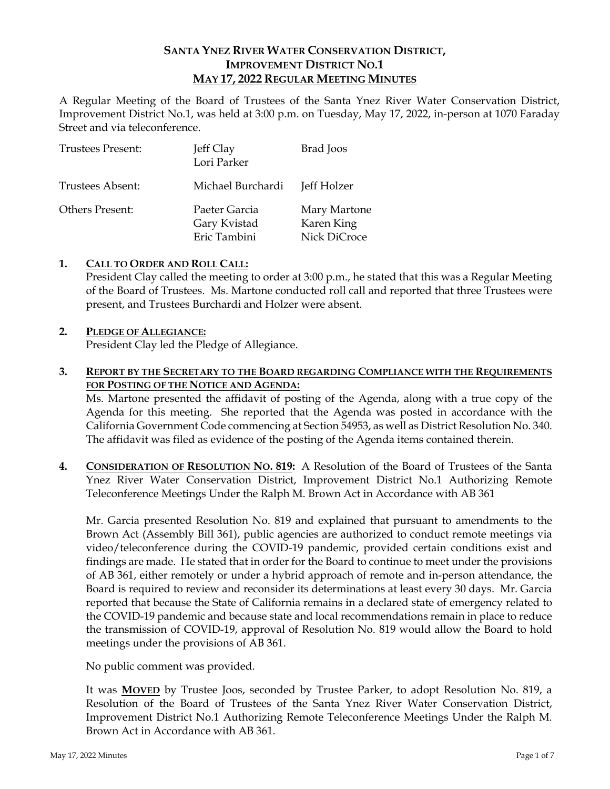# **SANTA YNEZ RIVER WATER CONSERVATION DISTRICT, IMPROVEMENT DISTRICT NO.1 MAY 17, 2022 REGULAR MEETING MINUTES**

A Regular Meeting of the Board of Trustees of the Santa Ynez River Water Conservation District, Improvement District No.1, was held at 3:00 p.m. on Tuesday, May 17, 2022, in-person at 1070 Faraday Street and via teleconference.

| Trustees Present:       | Jeff Clay<br>Lori Parker                      | Brad Joos                                  |
|-------------------------|-----------------------------------------------|--------------------------------------------|
| <b>Trustees Absent:</b> | Michael Burchardi                             | Jeff Holzer                                |
| Others Present:         | Paeter Garcia<br>Gary Kvistad<br>Eric Tambini | Mary Martone<br>Karen King<br>Nick DiCroce |

## **1. CALL TO ORDER AND ROLL CALL:**

President Clay called the meeting to order at 3:00 p.m., he stated that this was a Regular Meeting of the Board of Trustees. Ms. Martone conducted roll call and reported that three Trustees were present, and Trustees Burchardi and Holzer were absent.

## **2. PLEDGE OF ALLEGIANCE:**

President Clay led the Pledge of Allegiance.

## **3. REPORT BY THE SECRETARY TO THE BOARD REGARDING COMPLIANCE WITH THE REQUIREMENTS FOR POSTING OF THE NOTICE AND AGENDA:**

Ms. Martone presented the affidavit of posting of the Agenda, along with a true copy of the Agenda for this meeting. She reported that the Agenda was posted in accordance with the California Government Code commencing at Section 54953, as well as District Resolution No. 340. The affidavit was filed as evidence of the posting of the Agenda items contained therein.

**4. CONSIDERATION OF RESOLUTION NO. 819:** A Resolution of the Board of Trustees of the Santa Ynez River Water Conservation District, Improvement District No.1 Authorizing Remote Teleconference Meetings Under the Ralph M. Brown Act in Accordance with AB 361

Mr. Garcia presented Resolution No. 819 and explained that pursuant to amendments to the Brown Act (Assembly Bill 361), public agencies are authorized to conduct remote meetings via video/teleconference during the COVID-19 pandemic, provided certain conditions exist and findings are made. He stated that in order for the Board to continue to meet under the provisions of AB 361, either remotely or under a hybrid approach of remote and in-person attendance, the Board is required to review and reconsider its determinations at least every 30 days. Mr. Garcia reported that because the State of California remains in a declared state of emergency related to the COVID-19 pandemic and because state and local recommendations remain in place to reduce the transmission of COVID-19, approval of Resolution No. 819 would allow the Board to hold meetings under the provisions of AB 361.

No public comment was provided.

It was **MOVED** by Trustee Joos, seconded by Trustee Parker, to adopt Resolution No. 819, a Resolution of the Board of Trustees of the Santa Ynez River Water Conservation District, Improvement District No.1 Authorizing Remote Teleconference Meetings Under the Ralph M. Brown Act in Accordance with AB 361.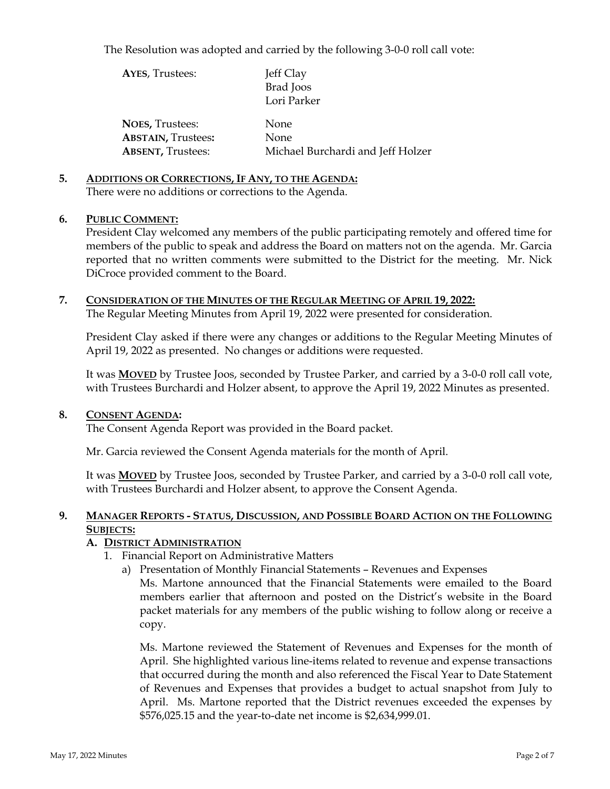The Resolution was adopted and carried by the following 3-0-0 roll call vote:

| <b>AYES, Trustees:</b>    | Jeff Clay                         |
|---------------------------|-----------------------------------|
|                           | Brad Joos                         |
|                           | Lori Parker                       |
| <b>NOES, Trustees:</b>    | None                              |
| <b>ABSTAIN, Trustees:</b> | None                              |
| <b>ABSENT, Trustees:</b>  | Michael Burchardi and Jeff Holzer |

## **5. ADDITIONS OR CORRECTIONS, IF ANY, TO THE AGENDA:**

There were no additions or corrections to the Agenda.

#### **6. PUBLIC COMMENT:**

President Clay welcomed any members of the public participating remotely and offered time for members of the public to speak and address the Board on matters not on the agenda. Mr. Garcia reported that no written comments were submitted to the District for the meeting. Mr. Nick DiCroce provided comment to the Board.

# **7. CONSIDERATION OF THE MINUTES OF THE REGULAR MEETING OF APRIL 19, 2022:**

The Regular Meeting Minutes from April 19, 2022 were presented for consideration.

President Clay asked if there were any changes or additions to the Regular Meeting Minutes of April 19, 2022 as presented. No changes or additions were requested.

It was **MOVED** by Trustee Joos, seconded by Trustee Parker, and carried by a 3-0-0 roll call vote, with Trustees Burchardi and Holzer absent, to approve the April 19, 2022 Minutes as presented.

#### **8. CONSENT AGENDA:**

The Consent Agenda Report was provided in the Board packet.

Mr. Garcia reviewed the Consent Agenda materials for the month of April.

It was **MOVED** by Trustee Joos, seconded by Trustee Parker, and carried by a 3-0-0 roll call vote, with Trustees Burchardi and Holzer absent, to approve the Consent Agenda.

#### **9. MANAGER REPORTS - STATUS, DISCUSSION, AND POSSIBLE BOARD ACTION ON THE FOLLOWING SUBJECTS:**

# **A. DISTRICT ADMINISTRATION**

copy.

- 1. Financial Report on Administrative Matters
	- a) Presentation of Monthly Financial Statements Revenues and Expenses Ms. Martone announced that the Financial Statements were emailed to the Board members earlier that afternoon and posted on the District's website in the Board packet materials for any members of the public wishing to follow along or receive a

Ms. Martone reviewed the Statement of Revenues and Expenses for the month of April. She highlighted various line-items related to revenue and expense transactions that occurred during the month and also referenced the Fiscal Year to Date Statement of Revenues and Expenses that provides a budget to actual snapshot from July to April. Ms. Martone reported that the District revenues exceeded the expenses by \$576,025.15 and the year-to-date net income is \$2,634,999.01.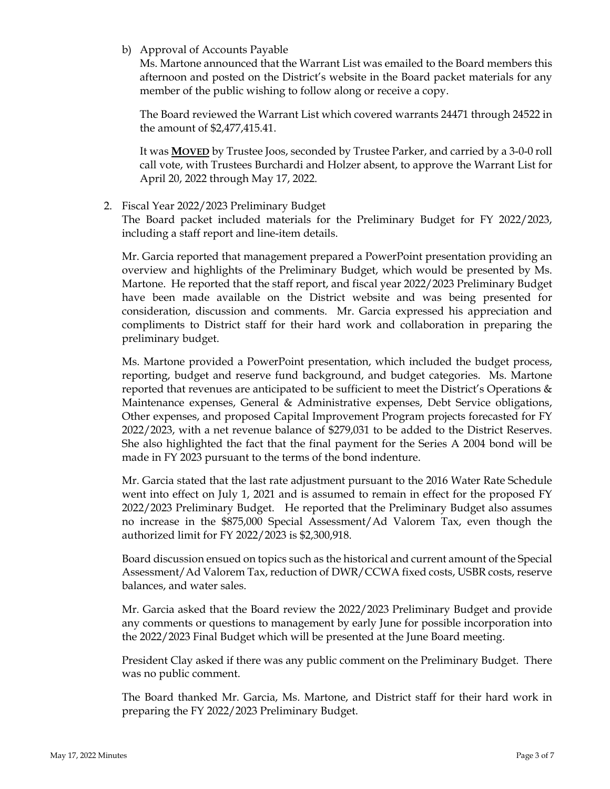b) Approval of Accounts Payable

Ms. Martone announced that the Warrant List was emailed to the Board members this afternoon and posted on the District's website in the Board packet materials for any member of the public wishing to follow along or receive a copy.

The Board reviewed the Warrant List which covered warrants 24471 through 24522 in the amount of \$2,477,415.41.

It was **MOVED** by Trustee Joos, seconded by Trustee Parker, and carried by a 3-0-0 roll call vote, with Trustees Burchardi and Holzer absent, to approve the Warrant List for April 20, 2022 through May 17, 2022.

2. Fiscal Year 2022/2023 Preliminary Budget

The Board packet included materials for the Preliminary Budget for FY 2022/2023, including a staff report and line-item details.

Mr. Garcia reported that management prepared a PowerPoint presentation providing an overview and highlights of the Preliminary Budget, which would be presented by Ms. Martone. He reported that the staff report, and fiscal year 2022/2023 Preliminary Budget have been made available on the District website and was being presented for consideration, discussion and comments. Mr. Garcia expressed his appreciation and compliments to District staff for their hard work and collaboration in preparing the preliminary budget.

Ms. Martone provided a PowerPoint presentation, which included the budget process, reporting, budget and reserve fund background, and budget categories. Ms. Martone reported that revenues are anticipated to be sufficient to meet the District's Operations  $\&$ Maintenance expenses, General & Administrative expenses, Debt Service obligations, Other expenses, and proposed Capital Improvement Program projects forecasted for FY 2022/2023, with a net revenue balance of \$279,031 to be added to the District Reserves. She also highlighted the fact that the final payment for the Series A 2004 bond will be made in FY 2023 pursuant to the terms of the bond indenture.

Mr. Garcia stated that the last rate adjustment pursuant to the 2016 Water Rate Schedule went into effect on July 1, 2021 and is assumed to remain in effect for the proposed FY 2022/2023 Preliminary Budget. He reported that the Preliminary Budget also assumes no increase in the \$875,000 Special Assessment/Ad Valorem Tax, even though the authorized limit for FY 2022/2023 is \$2,300,918.

Board discussion ensued on topics such as the historical and current amount of the Special Assessment/Ad Valorem Tax, reduction of DWR/CCWA fixed costs, USBR costs, reserve balances, and water sales.

Mr. Garcia asked that the Board review the 2022/2023 Preliminary Budget and provide any comments or questions to management by early June for possible incorporation into the 2022/2023 Final Budget which will be presented at the June Board meeting.

President Clay asked if there was any public comment on the Preliminary Budget. There was no public comment.

The Board thanked Mr. Garcia, Ms. Martone, and District staff for their hard work in preparing the FY 2022/2023 Preliminary Budget.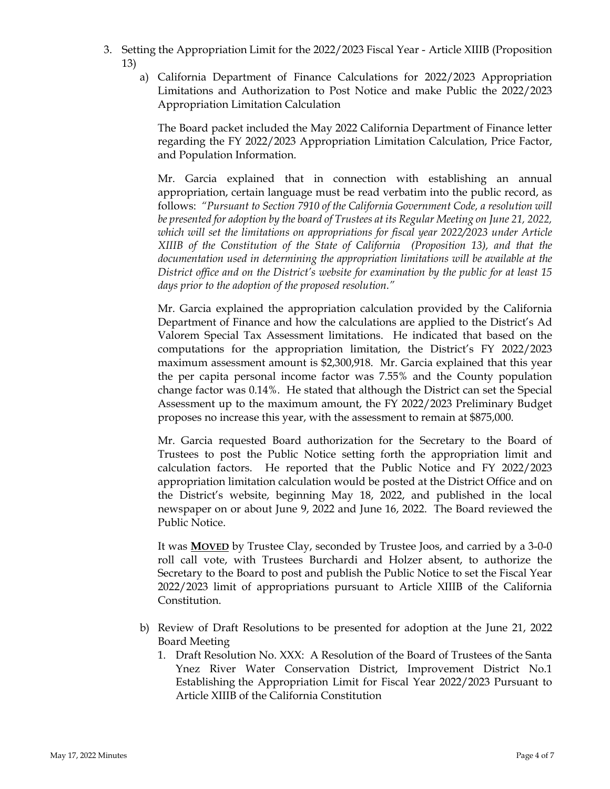- 3. Setting the Appropriation Limit for the 2022/2023 Fiscal Year Article XIIIB (Proposition 13)
	- a) California Department of Finance Calculations for 2022/2023 Appropriation Limitations and Authorization to Post Notice and make Public the 2022/2023 Appropriation Limitation Calculation

The Board packet included the May 2022 California Department of Finance letter regarding the FY 2022/2023 Appropriation Limitation Calculation, Price Factor, and Population Information.

Mr. Garcia explained that in connection with establishing an annual appropriation, certain language must be read verbatim into the public record, as follows: *"Pursuant to Section 7910 of the California Government Code, a resolution will be presented for adoption by the board of Trustees at its Regular Meeting on June 21, 2022, which will set the limitations on appropriations for fiscal year 2022/2023 under Article XIIIB of the Constitution of the State of California (Proposition 13), and that the documentation used in determining the appropriation limitations will be available at the District office and on the District's website for examination by the public for at least 15 days prior to the adoption of the proposed resolution."* 

Mr. Garcia explained the appropriation calculation provided by the California Department of Finance and how the calculations are applied to the District's Ad Valorem Special Tax Assessment limitations. He indicated that based on the computations for the appropriation limitation, the District's FY 2022/2023 maximum assessment amount is \$2,300,918. Mr. Garcia explained that this year the per capita personal income factor was 7.55% and the County population change factor was 0.14%. He stated that although the District can set the Special Assessment up to the maximum amount, the FY 2022/2023 Preliminary Budget proposes no increase this year, with the assessment to remain at \$875,000.

Mr. Garcia requested Board authorization for the Secretary to the Board of Trustees to post the Public Notice setting forth the appropriation limit and calculation factors. He reported that the Public Notice and FY 2022/2023 appropriation limitation calculation would be posted at the District Office and on the District's website, beginning May 18, 2022, and published in the local newspaper on or about June 9, 2022 and June 16, 2022. The Board reviewed the Public Notice.

It was **MOVED** by Trustee Clay, seconded by Trustee Joos, and carried by a 3-0-0 roll call vote, with Trustees Burchardi and Holzer absent, to authorize the Secretary to the Board to post and publish the Public Notice to set the Fiscal Year 2022/2023 limit of appropriations pursuant to Article XIIIB of the California Constitution.

- b) Review of Draft Resolutions to be presented for adoption at the June 21, 2022 Board Meeting
	- 1. Draft Resolution No. XXX: A Resolution of the Board of Trustees of the Santa Ynez River Water Conservation District, Improvement District No.1 Establishing the Appropriation Limit for Fiscal Year 2022/2023 Pursuant to Article XIIIB of the California Constitution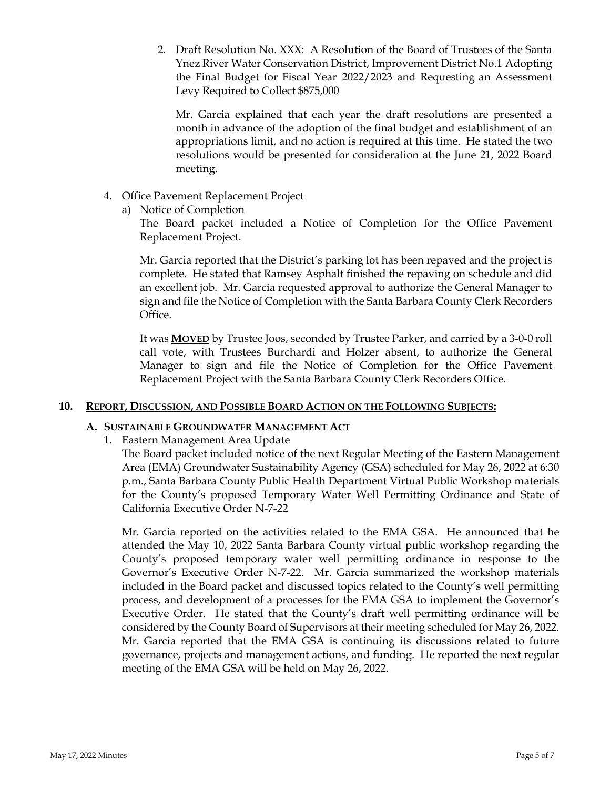2. Draft Resolution No. XXX: A Resolution of the Board of Trustees of the Santa Ynez River Water Conservation District, Improvement District No.1 Adopting the Final Budget for Fiscal Year 2022/2023 and Requesting an Assessment Levy Required to Collect \$875,000

Mr. Garcia explained that each year the draft resolutions are presented a month in advance of the adoption of the final budget and establishment of an appropriations limit, and no action is required at this time. He stated the two resolutions would be presented for consideration at the June 21, 2022 Board meeting.

- 4. Office Pavement Replacement Project
	- a) Notice of Completion

The Board packet included a Notice of Completion for the Office Pavement Replacement Project.

Mr. Garcia reported that the District's parking lot has been repaved and the project is complete. He stated that Ramsey Asphalt finished the repaving on schedule and did an excellent job. Mr. Garcia requested approval to authorize the General Manager to sign and file the Notice of Completion with the Santa Barbara County Clerk Recorders Office.

It was **MOVED** by Trustee Joos, seconded by Trustee Parker, and carried by a 3-0-0 roll call vote, with Trustees Burchardi and Holzer absent, to authorize the General Manager to sign and file the Notice of Completion for the Office Pavement Replacement Project with the Santa Barbara County Clerk Recorders Office.

#### **10. REPORT, DISCUSSION, AND POSSIBLE BOARD ACTION ON THE FOLLOWING SUBJECTS:**

# **A. SUSTAINABLE GROUNDWATER MANAGEMENT ACT**

1. Eastern Management Area Update

The Board packet included notice of the next Regular Meeting of the Eastern Management Area (EMA) Groundwater Sustainability Agency (GSA) scheduled for May 26, 2022 at 6:30 p.m., Santa Barbara County Public Health Department Virtual Public Workshop materials for the County's proposed Temporary Water Well Permitting Ordinance and State of California Executive Order N-7-22

Mr. Garcia reported on the activities related to the EMA GSA. He announced that he attended the May 10, 2022 Santa Barbara County virtual public workshop regarding the County's proposed temporary water well permitting ordinance in response to the Governor's Executive Order N-7-22. Mr. Garcia summarized the workshop materials included in the Board packet and discussed topics related to the County's well permitting process, and development of a processes for the EMA GSA to implement the Governor's Executive Order. He stated that the County's draft well permitting ordinance will be considered by the County Board of Supervisors at their meeting scheduled for May 26, 2022. Mr. Garcia reported that the EMA GSA is continuing its discussions related to future governance, projects and management actions, and funding. He reported the next regular meeting of the EMA GSA will be held on May 26, 2022.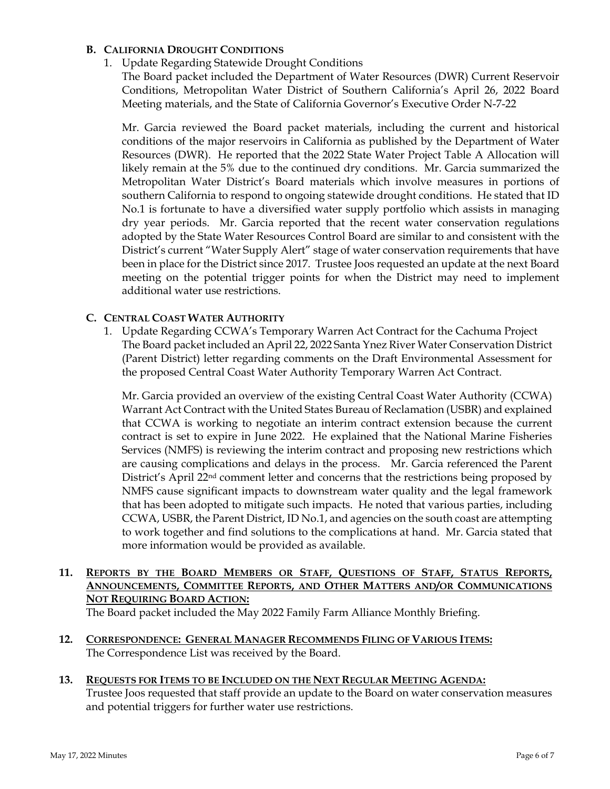# **B. CALIFORNIA DROUGHT CONDITIONS**

1. Update Regarding Statewide Drought Conditions

The Board packet included the Department of Water Resources (DWR) Current Reservoir Conditions, Metropolitan Water District of Southern California's April 26, 2022 Board Meeting materials, and the State of California Governor's Executive Order N-7-22

Mr. Garcia reviewed the Board packet materials, including the current and historical conditions of the major reservoirs in California as published by the Department of Water Resources (DWR). He reported that the 2022 State Water Project Table A Allocation will likely remain at the 5% due to the continued dry conditions. Mr. Garcia summarized the Metropolitan Water District's Board materials which involve measures in portions of southern California to respond to ongoing statewide drought conditions. He stated that ID No.1 is fortunate to have a diversified water supply portfolio which assists in managing dry year periods. Mr. Garcia reported that the recent water conservation regulations adopted by the State Water Resources Control Board are similar to and consistent with the District's current "Water Supply Alert" stage of water conservation requirements that have been in place for the District since 2017. Trustee Joos requested an update at the next Board meeting on the potential trigger points for when the District may need to implement additional water use restrictions.

# **C. CENTRAL COAST WATER AUTHORITY**

1. Update Regarding CCWA's Temporary Warren Act Contract for the Cachuma Project The Board packet included an April 22, 2022 Santa Ynez River Water Conservation District (Parent District) letter regarding comments on the Draft Environmental Assessment for the proposed Central Coast Water Authority Temporary Warren Act Contract.

Mr. Garcia provided an overview of the existing Central Coast Water Authority (CCWA) Warrant Act Contract with the United States Bureau of Reclamation (USBR) and explained that CCWA is working to negotiate an interim contract extension because the current contract is set to expire in June 2022. He explained that the National Marine Fisheries Services (NMFS) is reviewing the interim contract and proposing new restrictions which are causing complications and delays in the process. Mr. Garcia referenced the Parent District's April 22<sup>nd</sup> comment letter and concerns that the restrictions being proposed by NMFS cause significant impacts to downstream water quality and the legal framework that has been adopted to mitigate such impacts. He noted that various parties, including CCWA, USBR, the Parent District, ID No.1, and agencies on the south coast are attempting to work together and find solutions to the complications at hand. Mr. Garcia stated that more information would be provided as available.

# **11. REPORTS BY THE BOARD MEMBERS OR STAFF, QUESTIONS OF STAFF, STATUS REPORTS, ANNOUNCEMENTS, COMMITTEE REPORTS, AND OTHER MATTERS AND/OR COMMUNICATIONS NOT REQUIRING BOARD ACTION:**

The Board packet included the May 2022 Family Farm Alliance Monthly Briefing.

- **12. CORRESPONDENCE: GENERAL MANAGER RECOMMENDS FILING OF VARIOUS ITEMS:**  The Correspondence List was received by the Board.
- **13. REQUESTS FOR ITEMS TO BE INCLUDED ON THE NEXT REGULAR MEETING AGENDA:** Trustee Joos requested that staff provide an update to the Board on water conservation measures and potential triggers for further water use restrictions.